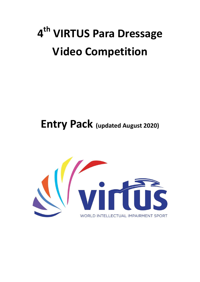# **4 th VIRTUS Para Dressage Video Competition**

**Entry Pack (updated August 2020)**

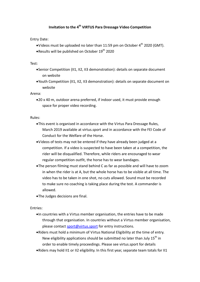### **Invitation to the 4 th VIRTUS Para Dressage Video Competition**

Entry Date:

- Videos must be uploaded no later than 11:59 pm on October  $4<sup>th</sup>$  2020 (GMT).
- **Results will be published on October 19<sup>th</sup> 2020**

Test:

- Senior Competition (II1, II2, II3 demonstration): details on separate document on website
- Youth Competition (II1, II2, II3 demonstration): details on separate document on website

Arena:

20 x 40 m, outdoor arena preferred, if indoor used, it must provide enough space for proper video recording.

Rules:

- This event is organised in accordance with the Virtus Para Dressage Rules, March 2019 available at virtus.sport and in accordance with the FEI Code of Conduct for the Welfare of the Horse.
- Videos of tests may not be entered if they have already been judged at a competition. If a video is suspected to have been taken at a competition, the rider will be disqualified. Therefore, while riders are encouraged to wear regular competition outfit, the horse has to wear bandages.
- The person filming must stand behind C as far as possible and will have to zoom in when the rider is at A, but the whole horse has to be visible at all time. The video has to be taken in one shot, no cuts allowed. Sound must be recorded to make sure no coaching is taking place during the test. A commander is allowed.
- The Judges decisions are final.

Entries:

- In countries with a Virtus member organisation, the entries have to be made through that organisation. In countries without a Virtus member organisation, please contact [sport@virtus.sport](mailto:sport@virtus.sport) for entry instructions.
- Riders must hold a minimum of Virtus National Eligibility at the time of entry. New eligibility applications should be submitted no later than July  $15<sup>th</sup>$  in order to enable timely proceedings. Please see virtus.sport for details
- Riders may hold II1 or II2 eligibility. In this first year, separate team totals for II1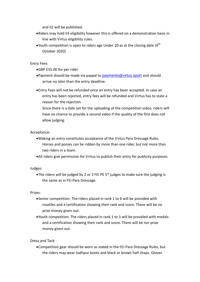and II2 will be published.

- Riders may hold II3 eligibility however this is offered on a demonstration basis in line with Virtus eligibility rules.
- Youth competition is open to riders age Under 20 as at the closing date  $(4^{th}$ October 2020)

Entry Fees:

- GBP £55.00 for per rider
- Payment should be made via paypal to [payments@virtus.sport](mailto:payments@virtus.sport) and should arrive no later than the entry deadline.
- Entry Fees will not be refunded once an entry has been accepted. In case an entry has been rejected, entry fees will be refunded and Virtus has to state a reason for the rejection.
	- Since there is a date set for the uploading of the competition video, riders will have no chance to provide a second video if the quality of the first does not allow judging.

#### Acceptance:

- Making an entry constitutes acceptance of the Virtus Para Dressage Rules. Horses and ponies can be ridden by more than one rider, but not more than two riders in a team.
- All riders give permission for Virtus to publish their entry for publicity purposes.

Judges:

The riders will be judged by 2 or 3 FEI PE 5\* judges to make sure the judging is the same as in FEI Para Dressage.

Prizes:

- Senior competition: The riders placed in rank 1 to 6 will be provided with rosettes and a certification showing their rank and score. There will be no prize money given out.
- Youth competition: The riders placed in rank 1 to 3 will be provided with medals and a certification showing their rank and score. There will be nor prize money given out.

Dress and Tack:

Competition gear should be worn as stated in the FEI Para Dressage Rules, but the riders may wear Jodhpur boots and black or brown half chaps. Gloves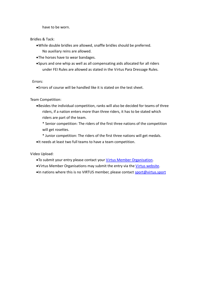have to be worn.

Bridles & Tack:

- While double bridles are allowed, snaffle bridles should be preferred. No auxiliary reins are allowed.
- The horses have to wear bandages.
- Spurs and one whip as well as all compensating aids allocated for all riders under FEI Rules are allowed as stated in the Virtus Para Dressage Rules.

Errors:

Errors of course will be handled like it is stated on the test sheet.

Team Competition:

Besides the individual competition, ranks will also be decided for teams of three riders, if a nation enters more than three riders, it has to be stated which riders are part of the team.

\* Senior competition: The riders of the first three nations of the competition will get rosettes.

- \* Junior competition: The riders of the first three nations will get medals.
- It needs at least two full teams to have a team competition.

Video Upload:

- To submit your entry please contact your Virtus [Member Organisation.](https://inas.org/project/member-organisations)
- Virtus Member Organisations may submit the entry via the [Virtus website.](https://www.virtus.sport/event/2nd-inas-para-equestrian-video-competition)
- •In nations where this is no VIRTUS member, please contact [sport@virtus.sport](mailto:sport@virtus.sport)